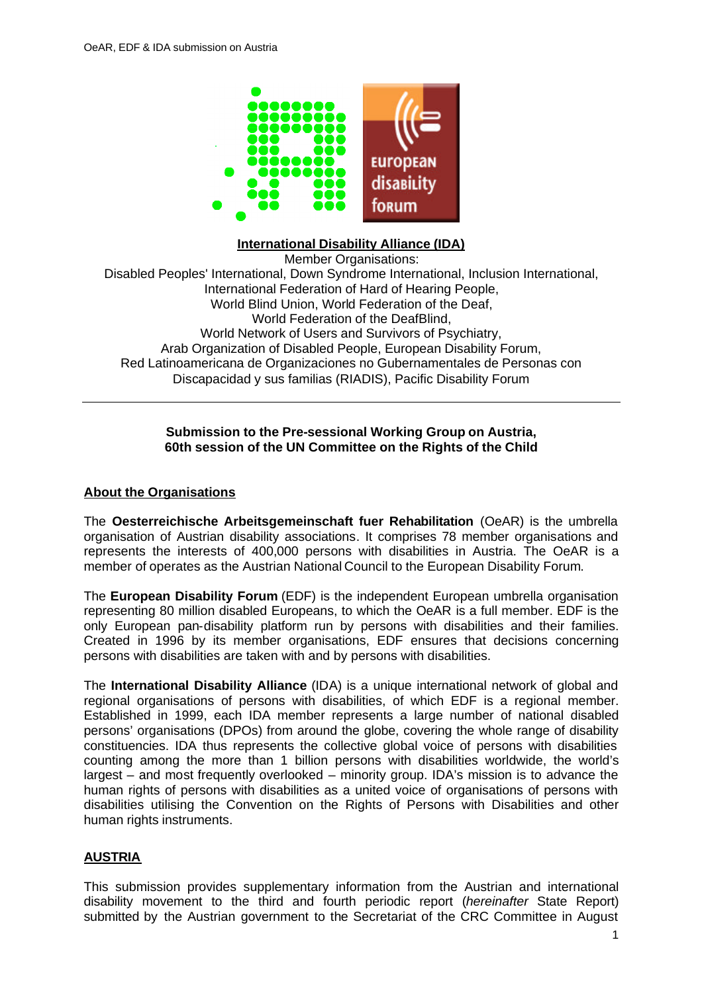

#### **International Disability Alliance (IDA)**

Member Organisations: Disabled Peoples' International, Down Syndrome International, Inclusion International, International Federation of Hard of Hearing People, World Blind Union, World Federation of the Deaf, World Federation of the DeafBlind, World Network of Users and Survivors of Psychiatry, Arab Organization of Disabled People, European Disability Forum, Red Latinoamericana de Organizaciones no Gubernamentales de Personas con Discapacidad y sus familias (RIADIS), Pacific Disability Forum

#### **Submission to the Pre-sessional Working Group on Austria, 60th session of the UN Committee on the Rights of the Child**

#### **About the Organisations**

The **Oesterreichische Arbeitsgemeinschaft fuer Rehabilitation** (OeAR) is the umbrella organisation of Austrian disability associations. It comprises 78 member organisations and represents the interests of 400,000 persons with disabilities in Austria. The OeAR is a member of operates as the Austrian National Council to the European Disability Forum.

The **European Disability Forum** (EDF) is the independent European umbrella organisation representing 80 million disabled Europeans, to which the OeAR is a full member. EDF is the only European pan-disability platform run by persons with disabilities and their families. Created in 1996 by its member organisations, EDF ensures that decisions concerning persons with disabilities are taken with and by persons with disabilities.

The **International Disability Alliance** (IDA) is a unique international network of global and regional organisations of persons with disabilities, of which EDF is a regional member. Established in 1999, each IDA member represents a large number of national disabled persons' organisations (DPOs) from around the globe, covering the whole range of disability constituencies. IDA thus represents the collective global voice of persons with disabilities counting among the more than 1 billion persons with disabilities worldwide, the world's largest – and most frequently overlooked – minority group. IDA's mission is to advance the human rights of persons with disabilities as a united voice of organisations of persons with disabilities utilising the Convention on the Rights of Persons with Disabilities and other human rights instruments.

#### **AUSTRIA**

This submission provides supplementary information from the Austrian and international disability movement to the third and fourth periodic report (*hereinafter* State Report) submitted by the Austrian government to the Secretariat of the CRC Committee in August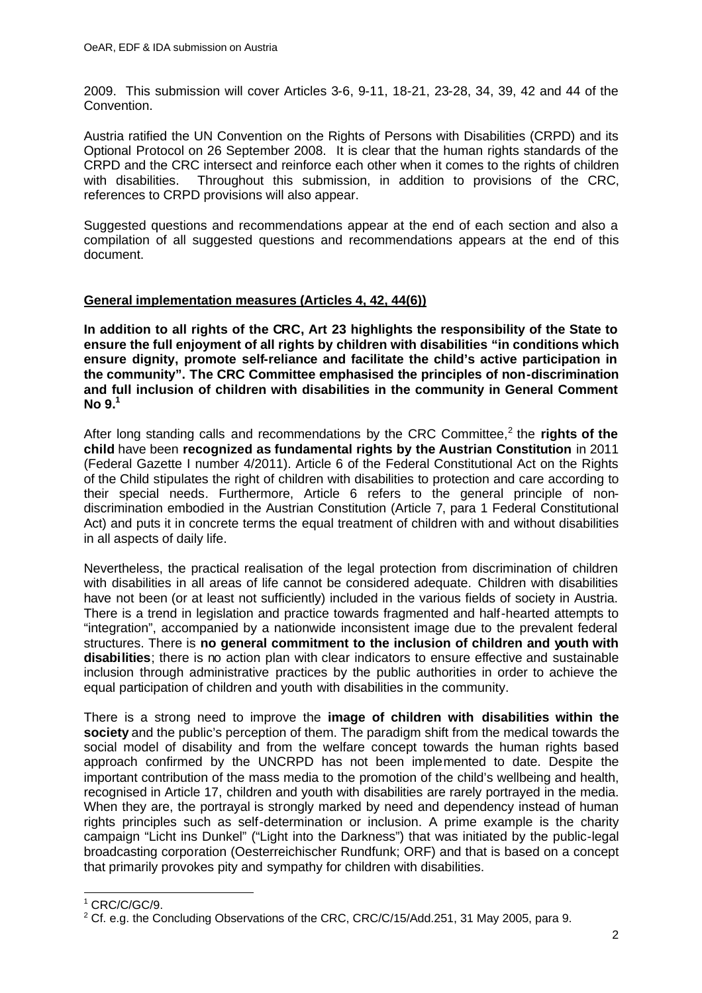2009. This submission will cover Articles 3-6, 9-11, 18-21, 23-28, 34, 39, 42 and 44 of the Convention.

Austria ratified the UN Convention on the Rights of Persons with Disabilities (CRPD) and its Optional Protocol on 26 September 2008. It is clear that the human rights standards of the CRPD and the CRC intersect and reinforce each other when it comes to the rights of children with disabilities. Throughout this submission, in addition to provisions of the CRC. references to CRPD provisions will also appear.

Suggested questions and recommendations appear at the end of each section and also a compilation of all suggested questions and recommendations appears at the end of this document.

### **General implementation measures (Articles 4, 42, 44(6))**

**In addition to all rights of the CRC, Art 23 highlights the responsibility of the State to ensure the full enjoyment of all rights by children with disabilities "in conditions which ensure dignity, promote self-reliance and facilitate the child's active participation in the community". The CRC Committee emphasised the principles of non-discrimination and full inclusion of children with disabilities in the community in General Comment No 9.<sup>1</sup>**

After long standing calls and recommendations by the CRC Committee,<sup>2</sup> the **rights of the child** have been **recognized as fundamental rights by the Austrian Constitution** in 2011 (Federal Gazette I number 4/2011). Article 6 of the Federal Constitutional Act on the Rights of the Child stipulates the right of children with disabilities to protection and care according to their special needs. Furthermore, Article 6 refers to the general principle of nondiscrimination embodied in the Austrian Constitution (Article 7, para 1 Federal Constitutional Act) and puts it in concrete terms the equal treatment of children with and without disabilities in all aspects of daily life.

Nevertheless, the practical realisation of the legal protection from discrimination of children with disabilities in all areas of life cannot be considered adequate. Children with disabilities have not been (or at least not sufficiently) included in the various fields of society in Austria. There is a trend in legislation and practice towards fragmented and half-hearted attempts to "integration", accompanied by a nationwide inconsistent image due to the prevalent federal structures. There is **no general commitment to the inclusion of children and youth with disabilities**; there is no action plan with clear indicators to ensure effective and sustainable inclusion through administrative practices by the public authorities in order to achieve the equal participation of children and youth with disabilities in the community.

There is a strong need to improve the **image of children with disabilities within the society** and the public's perception of them. The paradigm shift from the medical towards the social model of disability and from the welfare concept towards the human rights based approach confirmed by the UNCRPD has not been implemented to date. Despite the important contribution of the mass media to the promotion of the child's wellbeing and health, recognised in Article 17, children and youth with disabilities are rarely portrayed in the media. When they are, the portraval is strongly marked by need and dependency instead of human rights principles such as self-determination or inclusion. A prime example is the charity campaign "Licht ins Dunkel" ("Light into the Darkness") that was initiated by the public-legal broadcasting corporation (Oesterreichischer Rundfunk; ORF) and that is based on a concept that primarily provokes pity and sympathy for children with disabilities.

  $1$  CRC/C/GC/9.

 $2$  Cf. e.g. the Concluding Observations of the CRC, CRC/C/15/Add.251, 31 May 2005, para 9.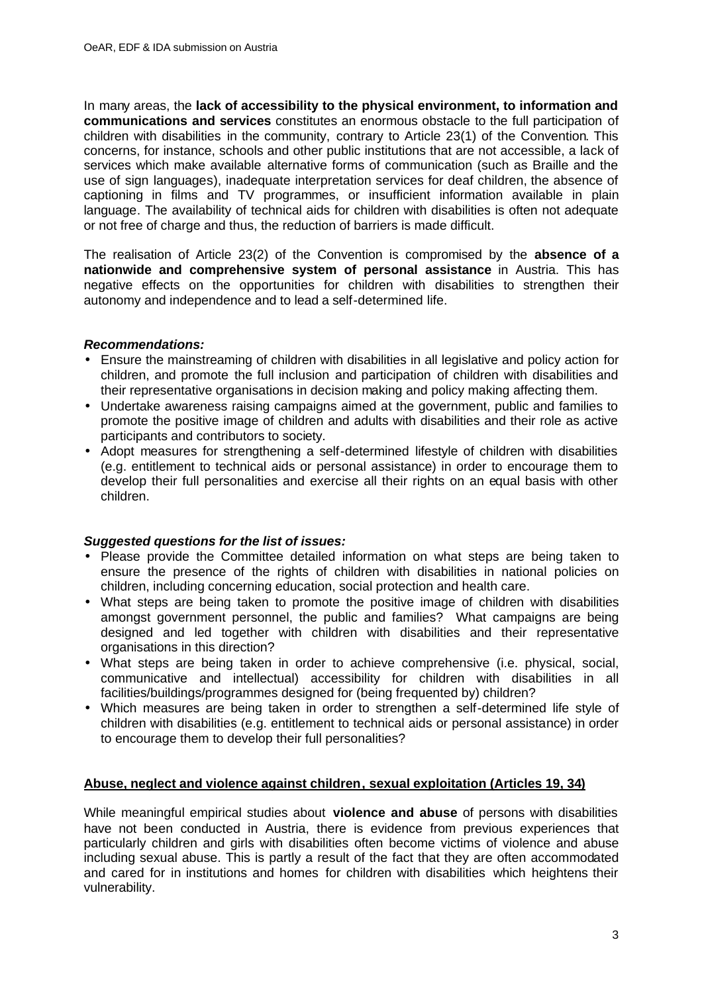In many areas, the **lack of accessibility to the physical environment, to information and communications and services** constitutes an enormous obstacle to the full participation of children with disabilities in the community, contrary to Article 23(1) of the Convention. This concerns, for instance, schools and other public institutions that are not accessible, a lack of services which make available alternative forms of communication (such as Braille and the use of sign languages), inadequate interpretation services for deaf children, the absence of captioning in films and TV programmes, or insufficient information available in plain language. The availability of technical aids for children with disabilities is often not adequate or not free of charge and thus, the reduction of barriers is made difficult.

The realisation of Article 23(2) of the Convention is compromised by the **absence of a nationwide and comprehensive system of personal assistance** in Austria. This has negative effects on the opportunities for children with disabilities to strengthen their autonomy and independence and to lead a self-determined life.

### *Recommendations:*

- Ensure the mainstreaming of children with disabilities in all legislative and policy action for children, and promote the full inclusion and participation of children with disabilities and their representative organisations in decision making and policy making affecting them.
- Undertake awareness raising campaigns aimed at the government, public and families to promote the positive image of children and adults with disabilities and their role as active participants and contributors to society.
- Adopt measures for strengthening a self-determined lifestyle of children with disabilities (e.g. entitlement to technical aids or personal assistance) in order to encourage them to develop their full personalities and exercise all their rights on an equal basis with other children.

### *Suggested questions for the list of issues:*

- Please provide the Committee detailed information on what steps are being taken to ensure the presence of the rights of children with disabilities in national policies on children, including concerning education, social protection and health care.
- What steps are being taken to promote the positive image of children with disabilities amongst government personnel, the public and families? What campaigns are being designed and led together with children with disabilities and their representative organisations in this direction?
- What steps are being taken in order to achieve comprehensive (i.e. physical, social, communicative and intellectual) accessibility for children with disabilities in all facilities/buildings/programmes designed for (being frequented by) children?
- Which measures are being taken in order to strengthen a self-determined life style of children with disabilities (e.g. entitlement to technical aids or personal assistance) in order to encourage them to develop their full personalities?

### **Abuse, neglect and violence against children, sexual exploitation (Articles 19, 34)**

While meaningful empirical studies about **violence and abuse** of persons with disabilities have not been conducted in Austria, there is evidence from previous experiences that particularly children and girls with disabilities often become victims of violence and abuse including sexual abuse. This is partly a result of the fact that they are often accommodated and cared for in institutions and homes for children with disabilities which heightens their vulnerability.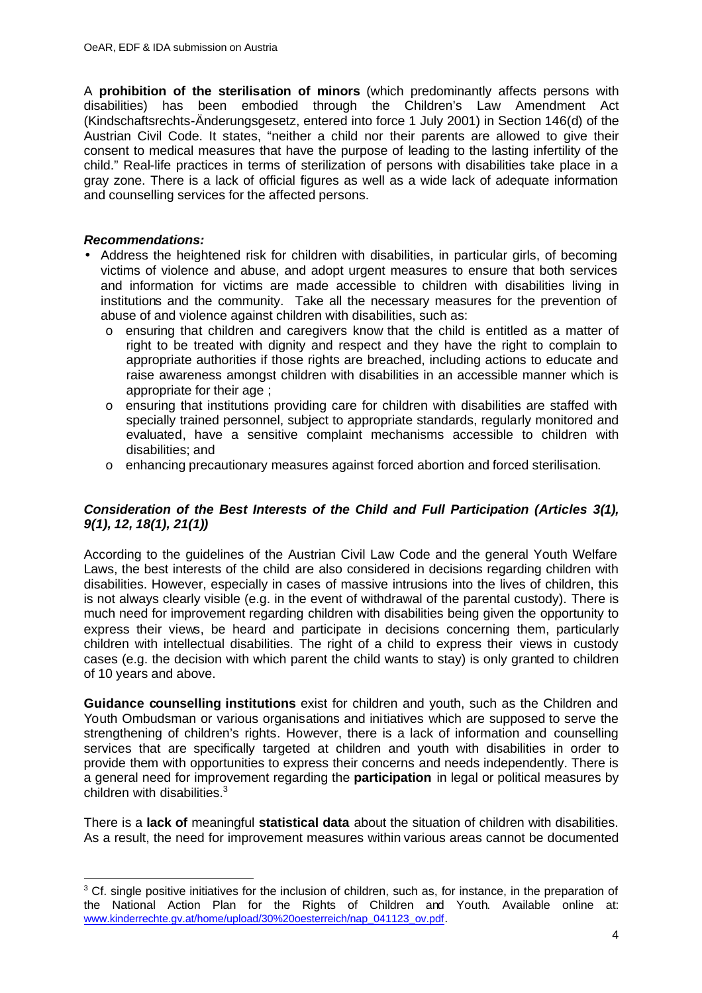A **prohibition of the sterilisation of minors** (which predominantly affects persons with disabilities) has been embodied through the Children's Law Amendment Act (Kindschaftsrechts-Änderungsgesetz, entered into force 1 July 2001) in Section 146(d) of the Austrian Civil Code. It states, "neither a child nor their parents are allowed to give their consent to medical measures that have the purpose of leading to the lasting infertility of the child." Real-life practices in terms of sterilization of persons with disabilities take place in a gray zone. There is a lack of official figures as well as a wide lack of adequate information and counselling services for the affected persons.

### *Recommendations:*

- Address the heightened risk for children with disabilities, in particular girls, of becoming victims of violence and abuse, and adopt urgent measures to ensure that both services and information for victims are made accessible to children with disabilities living in institutions and the community. Take all the necessary measures for the prevention of abuse of and violence against children with disabilities, such as:
	- o ensuring that children and caregivers know that the child is entitled as a matter of right to be treated with dignity and respect and they have the right to complain to appropriate authorities if those rights are breached, including actions to educate and raise awareness amongst children with disabilities in an accessible manner which is appropriate for their age ;
	- o ensuring that institutions providing care for children with disabilities are staffed with specially trained personnel, subject to appropriate standards, regularly monitored and evaluated, have a sensitive complaint mechanisms accessible to children with disabilities; and
	- o enhancing precautionary measures against forced abortion and forced sterilisation.

### *Consideration of the Best Interests of the Child and Full Participation (Articles 3(1), 9(1), 12, 18(1), 21(1))*

According to the guidelines of the Austrian Civil Law Code and the general Youth Welfare Laws, the best interests of the child are also considered in decisions regarding children with disabilities. However, especially in cases of massive intrusions into the lives of children, this is not always clearly visible (e.g. in the event of withdrawal of the parental custody). There is much need for improvement regarding children with disabilities being given the opportunity to express their views, be heard and participate in decisions concerning them, particularly children with intellectual disabilities. The right of a child to express their views in custody cases (e.g. the decision with which parent the child wants to stay) is only granted to children of 10 years and above.

**Guidance counselling institutions** exist for children and youth, such as the Children and Youth Ombudsman or various organisations and initiatives which are supposed to serve the strengthening of children's rights. However, there is a lack of information and counselling services that are specifically targeted at children and youth with disabilities in order to provide them with opportunities to express their concerns and needs independently. There is a general need for improvement regarding the **participation** in legal or political measures by children with disabilities.<sup>3</sup>

There is a **lack of** meaningful **statistical data** about the situation of children with disabilities. As a result, the need for improvement measures within various areas cannot be documented

l  $3$  Cf. single positive initiatives for the inclusion of children, such as, for instance, in the preparation of the National Action Plan for the Rights of Children and Youth. Available online at: www.kinderrechte.gv.at/home/upload/30%20oesterreich/nap\_041123\_ov.pdf.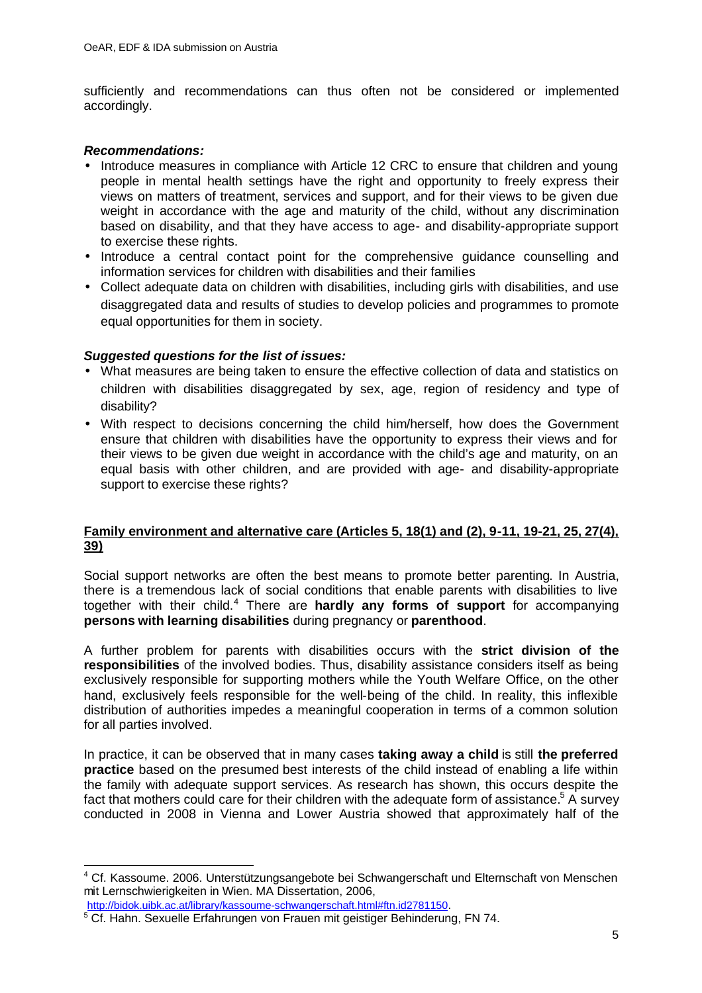sufficiently and recommendations can thus often not be considered or implemented accordingly.

#### *Recommendations:*

- Introduce measures in compliance with Article 12 CRC to ensure that children and young people in mental health settings have the right and opportunity to freely express their views on matters of treatment, services and support, and for their views to be given due weight in accordance with the age and maturity of the child, without any discrimination based on disability, and that they have access to age- and disability-appropriate support to exercise these rights.
- Introduce a central contact point for the comprehensive guidance counselling and information services for children with disabilities and their families
- Collect adequate data on children with disabilities, including girls with disabilities, and use disaggregated data and results of studies to develop policies and programmes to promote equal opportunities for them in society.

### *Suggested questions for the list of issues:*

- What measures are being taken to ensure the effective collection of data and statistics on children with disabilities disaggregated by sex, age, region of residency and type of disability?
- With respect to decisions concerning the child him/herself, how does the Government ensure that children with disabilities have the opportunity to express their views and for their views to be given due weight in accordance with the child's age and maturity, on an equal basis with other children, and are provided with age- and disability-appropriate support to exercise these rights?

#### **Family environment and alternative care (Articles 5, 18(1) and (2), 9-11, 19-21, 25, 27(4), 39)**

Social support networks are often the best means to promote better parenting. In Austria, there is a tremendous lack of social conditions that enable parents with disabilities to live together with their child.<sup>4</sup> There are hardly any forms of support for accompanying **persons with learning disabilities** during pregnancy or **parenthood**.

A further problem for parents with disabilities occurs with the **strict division of the responsibilities** of the involved bodies. Thus, disability assistance considers itself as being exclusively responsible for supporting mothers while the Youth Welfare Office, on the other hand, exclusively feels responsible for the well-being of the child. In reality, this inflexible distribution of authorities impedes a meaningful cooperation in terms of a common solution for all parties involved.

In practice, it can be observed that in many cases **taking away a child** is still **the preferred practice** based on the presumed best interests of the child instead of enabling a life within the family with adequate support services. As research has shown, this occurs despite the fact that mothers could care for their children with the adequate form of assistance.<sup>5</sup> A survey conducted in 2008 in Vienna and Lower Austria showed that approximately half of the

l

<sup>&</sup>lt;sup>4</sup> Cf. Kassoume. 2006. Unterstützungsangebote bei Schwangerschaft und Elternschaft von Menschen mit Lernschwierigkeiten in Wien. MA Dissertation, 2006,

http://bidok.uibk.ac.at/library/kassoume-schwangerschaft.html#ftn.id2781150.

<sup>&</sup>lt;sup>5</sup> Cf. Hahn. Sexuelle Erfahrungen von Frauen mit geistiger Behinderung, FN 74.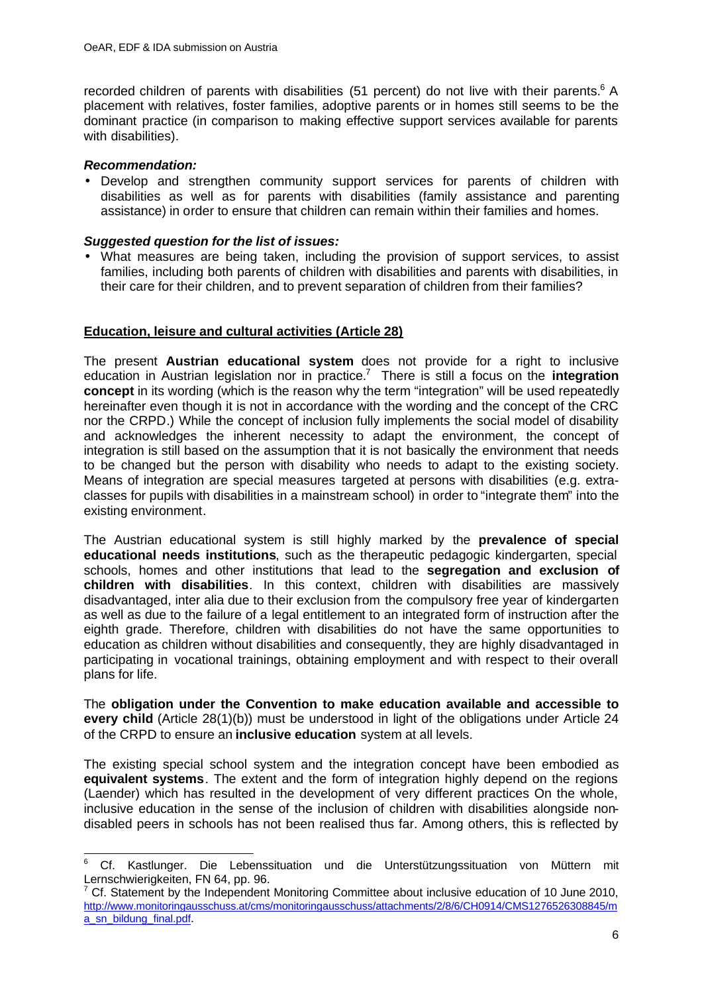recorded children of parents with disabilities (51 percent) do not live with their parents.<sup>6</sup> A placement with relatives, foster families, adoptive parents or in homes still seems to be the dominant practice (in comparison to making effective support services available for parents with disabilities).

### *Recommendation:*

• Develop and strengthen community support services for parents of children with disabilities as well as for parents with disabilities (family assistance and parenting assistance) in order to ensure that children can remain within their families and homes.

### *Suggested question for the list of issues:*

• What measures are being taken, including the provision of support services, to assist families, including both parents of children with disabilities and parents with disabilities, in their care for their children, and to prevent separation of children from their families?

### **Education, leisure and cultural activities (Article 28)**

The present **Austrian educational system** does not provide for a right to inclusive education in Austrian legislation nor in practice.<sup>7</sup> There is still a focus on the **integration concept** in its wording (which is the reason why the term "integration" will be used repeatedly hereinafter even though it is not in accordance with the wording and the concept of the CRC nor the CRPD.) While the concept of inclusion fully implements the social model of disability and acknowledges the inherent necessity to adapt the environment, the concept of integration is still based on the assumption that it is not basically the environment that needs to be changed but the person with disability who needs to adapt to the existing society. Means of integration are special measures targeted at persons with disabilities (e.g. extraclasses for pupils with disabilities in a mainstream school) in order to "integrate them" into the existing environment.

The Austrian educational system is still highly marked by the **prevalence of special educational needs institutions**, such as the therapeutic pedagogic kindergarten, special schools, homes and other institutions that lead to the **segregation and exclusion of children with disabilities**. In this context, children with disabilities are massively disadvantaged, inter alia due to their exclusion from the compulsory free year of kindergarten as well as due to the failure of a legal entitlement to an integrated form of instruction after the eighth grade. Therefore, children with disabilities do not have the same opportunities to education as children without disabilities and consequently, they are highly disadvantaged in participating in vocational trainings, obtaining employment and with respect to their overall plans for life.

The **obligation under the Convention to make education available and accessible to every child** (Article 28(1)(b)) must be understood in light of the obligations under Article 24 of the CRPD to ensure an **inclusive education** system at all levels.

The existing special school system and the integration concept have been embodied as **equivalent systems**. The extent and the form of integration highly depend on the regions (Laender) which has resulted in the development of very different practices On the whole, inclusive education in the sense of the inclusion of children with disabilities alongside nondisabled peers in schools has not been realised thus far. Among others, this is reflected by

 6 Cf. Kastlunger. Die Lebenssituation und die Unterstützungssituation von Müttern mit Lernschwierigkeiten, FN 64, pp. 96.

 $7$  Cf. Statement by the Independent Monitoring Committee about inclusive education of 10 June 2010, http://www.monitoringausschuss.at/cms/monitoringausschuss/attachments/2/8/6/CH0914/CMS1276526308845/m a\_sn\_bildung\_final.pdf.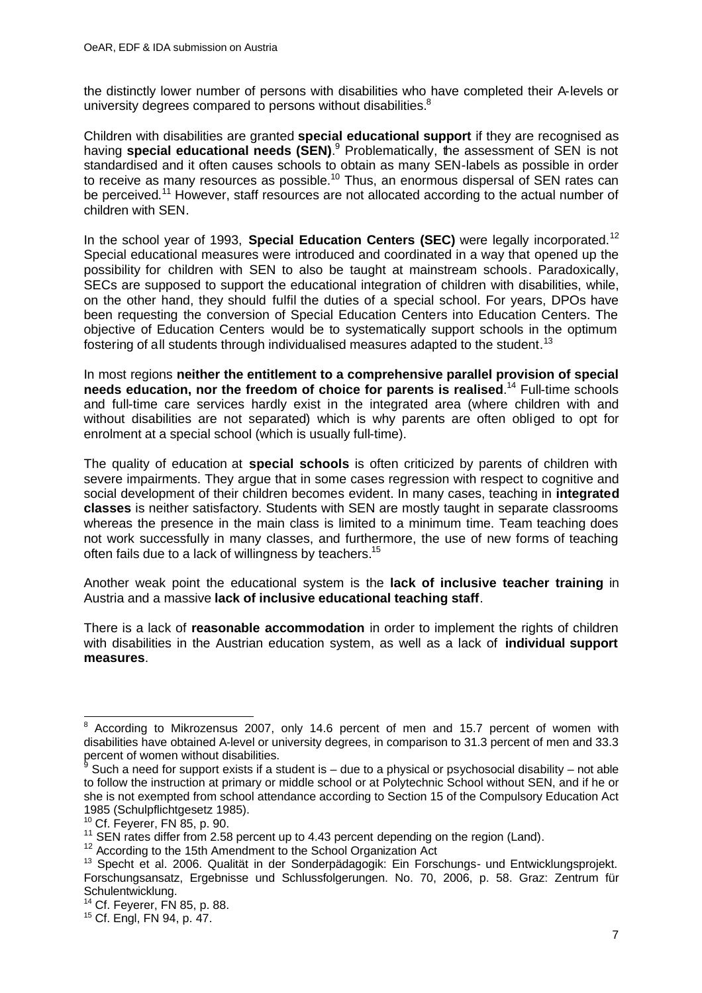the distinctly lower number of persons with disabilities who have completed their A-levels or university degrees compared to persons without disabilities.<sup>8</sup>

Children with disabilities are granted **special educational support** if they are recognised as having **special educational needs (SEN)**.<sup>9</sup> Problematically, the assessment of SEN is not standardised and it often causes schools to obtain as many SEN-labels as possible in order to receive as many resources as possible.<sup>10</sup> Thus, an enormous dispersal of SEN rates can be perceived.<sup>11</sup> However, staff resources are not allocated according to the actual number of children with SEN.

In the school year of 1993, **Special Education Centers (SEC)** were legally incorporated.<sup>12</sup> Special educational measures were introduced and coordinated in a way that opened up the possibility for children with SEN to also be taught at mainstream schools. Paradoxically, SECs are supposed to support the educational integration of children with disabilities, while, on the other hand, they should fulfil the duties of a special school. For years, DPOs have been requesting the conversion of Special Education Centers into Education Centers. The objective of Education Centers would be to systematically support schools in the optimum fostering of all students through individualised measures adapted to the student.<sup>13</sup>

In most regions **neither the entitlement to a comprehensive parallel provision of special needs education, nor the freedom of choice for parents is realised**. <sup>14</sup> Full-time schools and full-time care services hardly exist in the integrated area (where children with and without disabilities are not separated) which is why parents are often obliged to opt for enrolment at a special school (which is usually full-time).

The quality of education at **special schools** is often criticized by parents of children with severe impairments. They argue that in some cases regression with respect to cognitive and social development of their children becomes evident. In many cases, teaching in **integrated classes** is neither satisfactory. Students with SEN are mostly taught in separate classrooms whereas the presence in the main class is limited to a minimum time. Team teaching does not work successfully in many classes, and furthermore, the use of new forms of teaching often fails due to a lack of willingness by teachers.<sup>15</sup>

Another weak point the educational system is the **lack of inclusive teacher training** in Austria and a massive **lack of inclusive educational teaching staff**.

There is a lack of **reasonable accommodation** in order to implement the rights of children with disabilities in the Austrian education system, as well as a lack of **individual support measures**.

 $\frac{1}{8}$  According to Mikrozensus 2007, only 14.6 percent of men and 15.7 percent of women with disabilities have obtained A-level or university degrees, in comparison to 31.3 percent of men and 33.3 percent of women without disabilities.

Such a need for support exists if a student is – due to a physical or psychosocial disability – not able to follow the instruction at primary or middle school or at Polytechnic School without SEN, and if he or she is not exempted from school attendance according to Section 15 of the Compulsory Education Act 1985 (Schulpflichtgesetz 1985).

<sup>10</sup> Cf. Feyerer, FN 85, p. 90.

<sup>&</sup>lt;sup>11</sup> SEN rates differ from 2.58 percent up to 4.43 percent depending on the region (Land).

<sup>&</sup>lt;sup>12</sup> According to the 15th Amendment to the School Organization Act

<sup>&</sup>lt;sup>13</sup> Specht et al. 2006. Qualität in der Sonderpädagogik: Ein Forschungs- und Entwicklungsprojekt. Forschungsansatz, Ergebnisse und Schlussfolgerungen. No. 70, 2006, p. 58. Graz: Zentrum für Schulentwicklung.

<sup>14</sup> Cf. Feyerer, FN 85, p. 88.

<sup>15</sup> Cf. Engl, FN 94, p. 47.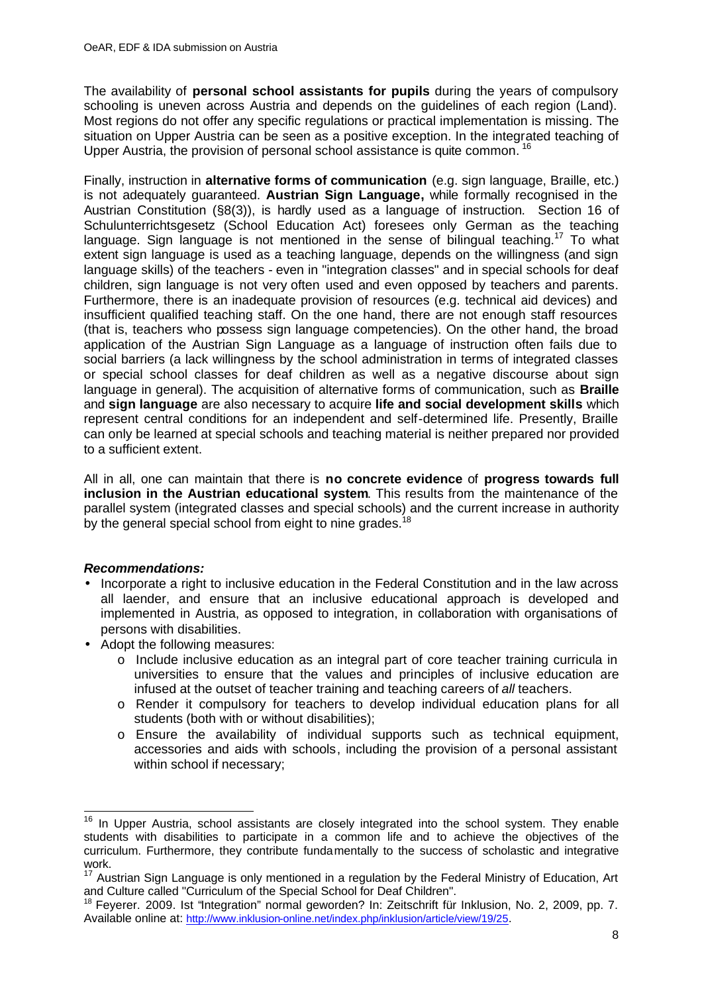The availability of **personal school assistants for pupils** during the years of compulsory schooling is uneven across Austria and depends on the guidelines of each region (Land). Most regions do not offer any specific regulations or practical implementation is missing. The situation on Upper Austria can be seen as a positive exception. In the integrated teaching of Upper Austria, the provision of personal school assistance is quite common. <sup>16</sup>

Finally, instruction in **alternative forms of communication** (e.g. sign language, Braille, etc.) is not adequately guaranteed. **Austrian Sign Language,** while formally recognised in the Austrian Constitution (§8(3)), is hardly used as a language of instruction. Section 16 of Schulunterrichtsgesetz (School Education Act) foresees only German as the teaching language. Sign language is not mentioned in the sense of bilingual teaching.<sup>17</sup> To what extent sign language is used as a teaching language, depends on the willingness (and sign language skills) of the teachers - even in "integration classes" and in special schools for deaf children, sign language is not very often used and even opposed by teachers and parents. Furthermore, there is an inadequate provision of resources (e.g. technical aid devices) and insufficient qualified teaching staff. On the one hand, there are not enough staff resources (that is, teachers who possess sign language competencies). On the other hand, the broad application of the Austrian Sign Language as a language of instruction often fails due to social barriers (a lack willingness by the school administration in terms of integrated classes or special school classes for deaf children as well as a negative discourse about sign language in general). The acquisition of alternative forms of communication, such as **Braille**  and **sign language** are also necessary to acquire **life and social development skills** which represent central conditions for an independent and self-determined life. Presently, Braille can only be learned at special schools and teaching material is neither prepared nor provided to a sufficient extent.

All in all, one can maintain that there is **no concrete evidence** of **progress towards full inclusion in the Austrian educational system**. This results from the maintenance of the parallel system (integrated classes and special schools) and the current increase in authority by the general special school from eight to nine grades.<sup>18</sup>

### *Recommendations:*

- Incorporate a right to inclusive education in the Federal Constitution and in the law across all laender, and ensure that an inclusive educational approach is developed and implemented in Austria, as opposed to integration, in collaboration with organisations of persons with disabilities.
- Adopt the following measures:
	- o Include inclusive education as an integral part of core teacher training curricula in universities to ensure that the values and principles of inclusive education are infused at the outset of teacher training and teaching careers of *all* teachers.
	- o Render it compulsory for teachers to develop individual education plans for all students (both with or without disabilities);
	- o Ensure the availability of individual supports such as technical equipment, accessories and aids with schools, including the provision of a personal assistant within school if necessary;

 $\overline{a}$  $16$  In Upper Austria, school assistants are closely integrated into the school system. They enable students with disabilities to participate in a common life and to achieve the objectives of the curriculum. Furthermore, they contribute fundamentally to the success of scholastic and integrative work.

work.<br><sup>17</sup> Austrian Sign Language is only mentioned in a regulation by the Federal Ministry of Education, Art and Culture called "Curriculum of the Special School for Deaf Children".

<sup>&</sup>lt;sup>18</sup> Feverer. 2009. Ist "Integration" normal geworden? In: Zeitschrift für Inklusion, No. 2, 2009, pp. 7. Available online at: http://www.inklusion-online.net/index.php/inklusion/article/view/19/25.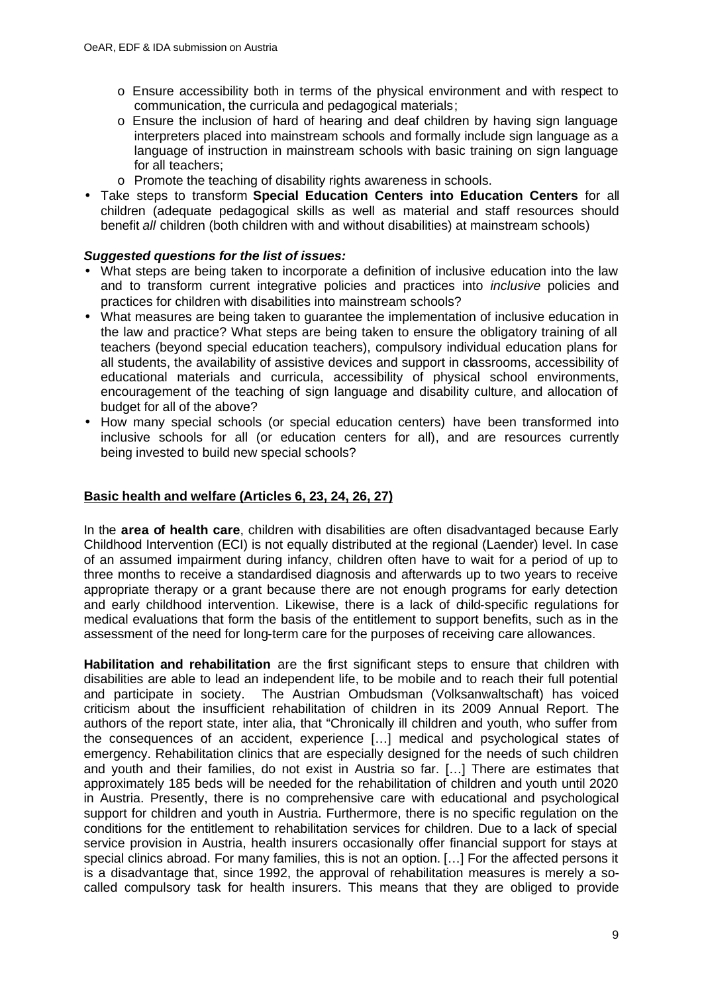- o Ensure accessibility both in terms of the physical environment and with respect to communication, the curricula and pedagogical materials;
- o Ensure the inclusion of hard of hearing and deaf children by having sign language interpreters placed into mainstream schools and formally include sign language as a language of instruction in mainstream schools with basic training on sign language for all teachers;
- o Promote the teaching of disability rights awareness in schools.
- Take steps to transform **Special Education Centers into Education Centers** for all children (adequate pedagogical skills as well as material and staff resources should benefit *all* children (both children with and without disabilities) at mainstream schools)

### *Suggested questions for the list of issues:*

- What steps are being taken to incorporate a definition of inclusive education into the law and to transform current integrative policies and practices into *inclusive* policies and practices for children with disabilities into mainstream schools?
- What measures are being taken to quarantee the implementation of inclusive education in the law and practice? What steps are being taken to ensure the obligatory training of all teachers (beyond special education teachers), compulsory individual education plans for all students, the availability of assistive devices and support in classrooms, accessibility of educational materials and curricula, accessibility of physical school environments, encouragement of the teaching of sign language and disability culture, and allocation of budget for all of the above?
- How many special schools (or special education centers) have been transformed into inclusive schools for all (or education centers for all), and are resources currently being invested to build new special schools?

### **Basic health and welfare (Articles 6, 23, 24, 26, 27)**

In the **area of health care**, children with disabilities are often disadvantaged because Early Childhood Intervention (ECI) is not equally distributed at the regional (Laender) level. In case of an assumed impairment during infancy, children often have to wait for a period of up to three months to receive a standardised diagnosis and afterwards up to two years to receive appropriate therapy or a grant because there are not enough programs for early detection and early childhood intervention. Likewise, there is a lack of child-specific regulations for medical evaluations that form the basis of the entitlement to support benefits, such as in the assessment of the need for long-term care for the purposes of receiving care allowances.

**Habilitation and rehabilitation** are the first significant steps to ensure that children with disabilities are able to lead an independent life, to be mobile and to reach their full potential and participate in society. The Austrian Ombudsman (Volksanwaltschaft) has voiced criticism about the insufficient rehabilitation of children in its 2009 Annual Report. The authors of the report state, inter alia, that "Chronically ill children and youth, who suffer from the consequences of an accident, experience […] medical and psychological states of emergency. Rehabilitation clinics that are especially designed for the needs of such children and youth and their families, do not exist in Austria so far. […] There are estimates that approximately 185 beds will be needed for the rehabilitation of children and youth until 2020 in Austria. Presently, there is no comprehensive care with educational and psychological support for children and youth in Austria. Furthermore, there is no specific regulation on the conditions for the entitlement to rehabilitation services for children. Due to a lack of special service provision in Austria, health insurers occasionally offer financial support for stays at special clinics abroad. For many families, this is not an option. […] For the affected persons it is a disadvantage that, since 1992, the approval of rehabilitation measures is merely a socalled compulsory task for health insurers. This means that they are obliged to provide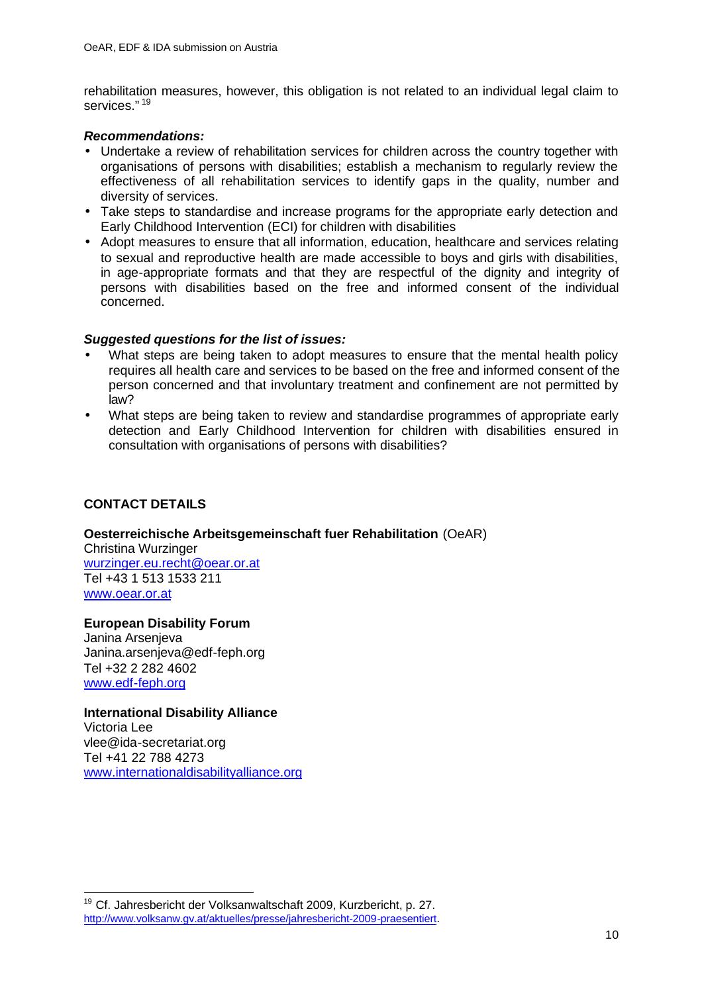rehabilitation measures, however, this obligation is not related to an individual legal claim to services." <sup>19</sup>

### *Recommendations:*

- Undertake a review of rehabilitation services for children across the country together with organisations of persons with disabilities; establish a mechanism to regularly review the effectiveness of all rehabilitation services to identify gaps in the quality, number and diversity of services.
- Take steps to standardise and increase programs for the appropriate early detection and Early Childhood Intervention (ECI) for children with disabilities
- Adopt measures to ensure that all information, education, healthcare and services relating to sexual and reproductive health are made accessible to boys and girls with disabilities, in age-appropriate formats and that they are respectful of the dignity and integrity of persons with disabilities based on the free and informed consent of the individual concerned.

### *Suggested questions for the list of issues:*

- What steps are being taken to adopt measures to ensure that the mental health policy requires all health care and services to be based on the free and informed consent of the person concerned and that involuntary treatment and confinement are not permitted by law?
- What steps are being taken to review and standardise programmes of appropriate early detection and Early Childhood Intervention for children with disabilities ensured in consultation with organisations of persons with disabilities?

# **CONTACT DETAILS**

# **Oesterreichische Arbeitsgemeinschaft fuer Rehabilitation** (OeAR)

Christina Wurzinger wurzinger.eu.recht@oear.or.at Tel +43 1 513 1533 211 www.oear.or.at

**European Disability Forum** Janina Arsenjeva Janina.arsenjeva@edf-feph.org Tel +32 2 282 4602

www.edf-feph.org

# **International Disability Alliance**

Victoria Lee vlee@ida-secretariat.org Tel +41 22 788 4273 www.internationaldisabilityalliance.org

<sup>&</sup>lt;sup>19</sup> Cf. Jahresbericht der Volksanwaltschaft 2009, Kurzbericht, p. 27. http://www.volksanw.gv.at/aktuelles/presse/jahresbericht-2009-praesentiert.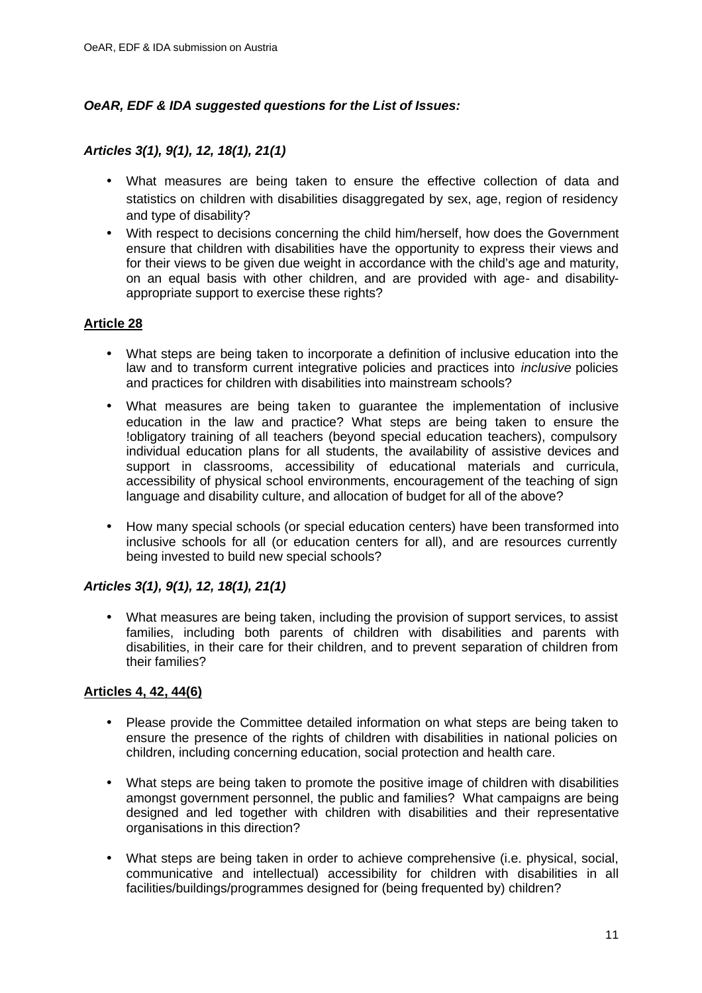# *OeAR, EDF & IDA suggested questions for the List of Issues:*

### *Articles 3(1), 9(1), 12, 18(1), 21(1)*

- What measures are being taken to ensure the effective collection of data and statistics on children with disabilities disaggregated by sex, age, region of residency and type of disability?
- With respect to decisions concerning the child him/herself, how does the Government ensure that children with disabilities have the opportunity to express their views and for their views to be given due weight in accordance with the child's age and maturity, on an equal basis with other children, and are provided with age- and disabilityappropriate support to exercise these rights?

### **Article 28**

- What steps are being taken to incorporate a definition of inclusive education into the law and to transform current integrative policies and practices into *inclusive* policies and practices for children with disabilities into mainstream schools?
- What measures are being taken to guarantee the implementation of inclusive education in the law and practice? What steps are being taken to ensure the !obligatory training of all teachers (beyond special education teachers), compulsory individual education plans for all students, the availability of assistive devices and support in classrooms, accessibility of educational materials and curricula, accessibility of physical school environments, encouragement of the teaching of sign language and disability culture, and allocation of budget for all of the above?
- How many special schools (or special education centers) have been transformed into inclusive schools for all (or education centers for all), and are resources currently being invested to build new special schools?

### *Articles 3(1), 9(1), 12, 18(1), 21(1)*

• What measures are being taken, including the provision of support services, to assist families, including both parents of children with disabilities and parents with disabilities, in their care for their children, and to prevent separation of children from their families?

### **Articles 4, 42, 44(6)**

- Please provide the Committee detailed information on what steps are being taken to ensure the presence of the rights of children with disabilities in national policies on children, including concerning education, social protection and health care.
- What steps are being taken to promote the positive image of children with disabilities amongst government personnel, the public and families? What campaigns are being designed and led together with children with disabilities and their representative organisations in this direction?
- What steps are being taken in order to achieve comprehensive (i.e. physical, social, communicative and intellectual) accessibility for children with disabilities in all facilities/buildings/programmes designed for (being frequented by) children?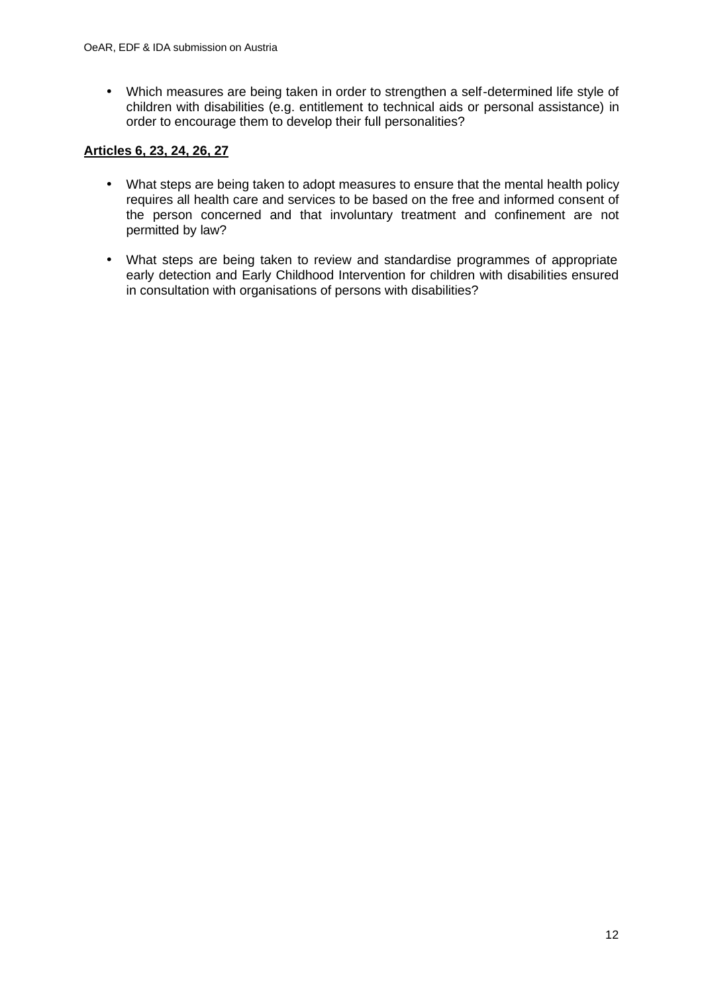• Which measures are being taken in order to strengthen a self-determined life style of children with disabilities (e.g. entitlement to technical aids or personal assistance) in order to encourage them to develop their full personalities?

# **Articles 6, 23, 24, 26, 27**

- What steps are being taken to adopt measures to ensure that the mental health policy requires all health care and services to be based on the free and informed consent of the person concerned and that involuntary treatment and confinement are not permitted by law?
- What steps are being taken to review and standardise programmes of appropriate early detection and Early Childhood Intervention for children with disabilities ensured in consultation with organisations of persons with disabilities?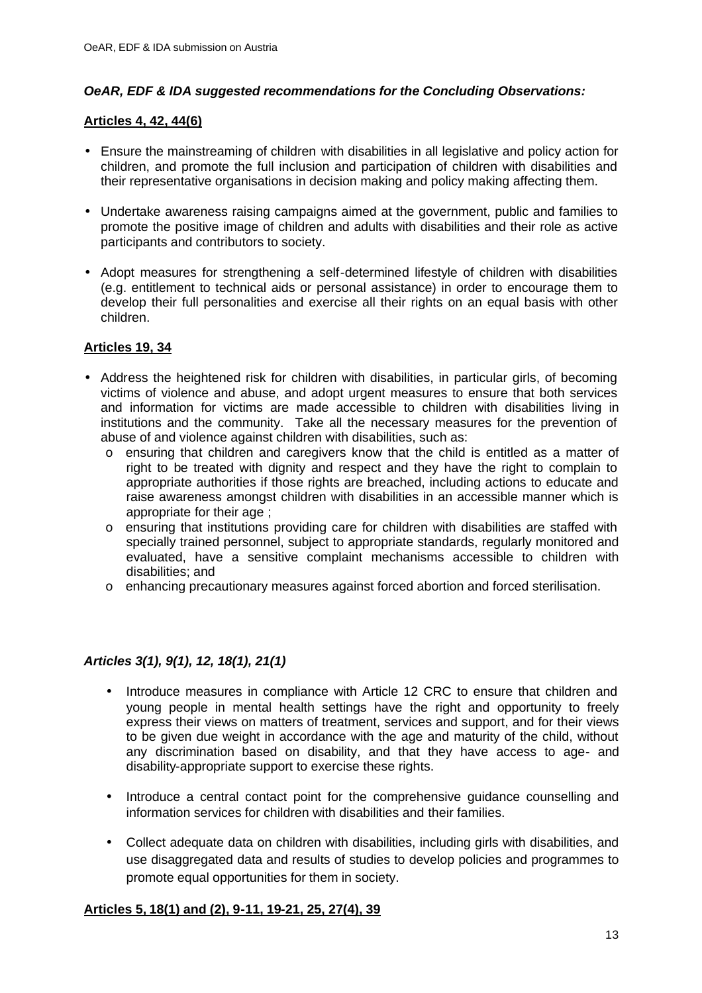# *OeAR, EDF & IDA suggested recommendations for the Concluding Observations:*

### **Articles 4, 42, 44(6)**

- Ensure the mainstreaming of children with disabilities in all legislative and policy action for children, and promote the full inclusion and participation of children with disabilities and their representative organisations in decision making and policy making affecting them.
- Undertake awareness raising campaigns aimed at the government, public and families to promote the positive image of children and adults with disabilities and their role as active participants and contributors to society.
- Adopt measures for strengthening a self-determined lifestyle of children with disabilities (e.g. entitlement to technical aids or personal assistance) in order to encourage them to develop their full personalities and exercise all their rights on an equal basis with other children.

### **Articles 19, 34**

- Address the heightened risk for children with disabilities, in particular girls, of becoming victims of violence and abuse, and adopt urgent measures to ensure that both services and information for victims are made accessible to children with disabilities living in institutions and the community. Take all the necessary measures for the prevention of abuse of and violence against children with disabilities, such as:
	- o ensuring that children and caregivers know that the child is entitled as a matter of right to be treated with dignity and respect and they have the right to complain to appropriate authorities if those rights are breached, including actions to educate and raise awareness amongst children with disabilities in an accessible manner which is appropriate for their age ;
	- o ensuring that institutions providing care for children with disabilities are staffed with specially trained personnel, subject to appropriate standards, regularly monitored and evaluated, have a sensitive complaint mechanisms accessible to children with disabilities; and
	- o enhancing precautionary measures against forced abortion and forced sterilisation.

### *Articles 3(1), 9(1), 12, 18(1), 21(1)*

- Introduce measures in compliance with Article 12 CRC to ensure that children and young people in mental health settings have the right and opportunity to freely express their views on matters of treatment, services and support, and for their views to be given due weight in accordance with the age and maturity of the child, without any discrimination based on disability, and that they have access to age- and disability-appropriate support to exercise these rights.
- Introduce a central contact point for the comprehensive guidance counselling and information services for children with disabilities and their families.
- Collect adequate data on children with disabilities, including girls with disabilities, and use disaggregated data and results of studies to develop policies and programmes to promote equal opportunities for them in society.

#### **Articles 5, 18(1) and (2), 9-11, 19-21, 25, 27(4), 39**